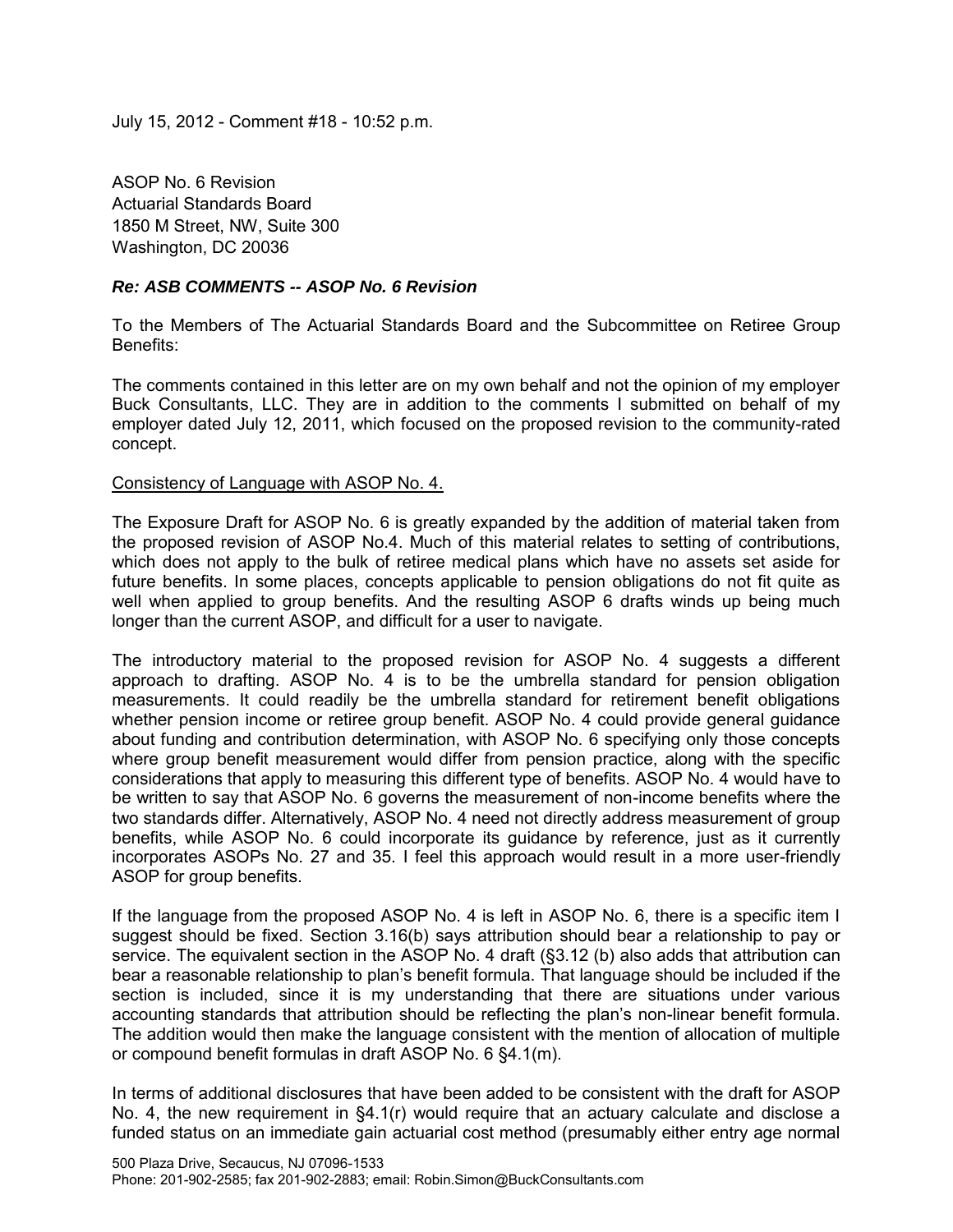July 15, 2012 - Comment #18 - 10:52 p.m.

ASOP No. 6 Revision Actuarial Standards Board 1850 M Street, NW, Suite 300 Washington, DC 20036

# *Re: ASB COMMENTS -- ASOP No. 6 Revision*

To the Members of The Actuarial Standards Board and the Subcommittee on Retiree Group Benefits:

The comments contained in this letter are on my own behalf and not the opinion of my employer Buck Consultants, LLC. They are in addition to the comments I submitted on behalf of my employer dated July 12, 2011, which focused on the proposed revision to the community-rated concept.

## Consistency of Language with ASOP No. 4.

The Exposure Draft for ASOP No. 6 is greatly expanded by the addition of material taken from the proposed revision of ASOP No.4. Much of this material relates to setting of contributions, which does not apply to the bulk of retiree medical plans which have no assets set aside for future benefits. In some places, concepts applicable to pension obligations do not fit quite as well when applied to group benefits. And the resulting ASOP 6 drafts winds up being much longer than the current ASOP, and difficult for a user to navigate.

The introductory material to the proposed revision for ASOP No. 4 suggests a different approach to drafting. ASOP No. 4 is to be the umbrella standard for pension obligation measurements. It could readily be the umbrella standard for retirement benefit obligations whether pension income or retiree group benefit. ASOP No. 4 could provide general guidance about funding and contribution determination, with ASOP No. 6 specifying only those concepts where group benefit measurement would differ from pension practice, along with the specific considerations that apply to measuring this different type of benefits. ASOP No. 4 would have to be written to say that ASOP No. 6 governs the measurement of non-income benefits where the two standards differ. Alternatively, ASOP No. 4 need not directly address measurement of group benefits, while ASOP No. 6 could incorporate its guidance by reference, just as it currently incorporates ASOPs No. 27 and 35. I feel this approach would result in a more user-friendly ASOP for group benefits.

If the language from the proposed ASOP No. 4 is left in ASOP No. 6, there is a specific item I suggest should be fixed. Section 3.16(b) says attribution should bear a relationship to pay or service. The equivalent section in the ASOP No. 4 draft (§3.12 (b) also adds that attribution can bear a reasonable relationship to plan's benefit formula. That language should be included if the section is included, since it is my understanding that there are situations under various accounting standards that attribution should be reflecting the plan's non-linear benefit formula. The addition would then make the language consistent with the mention of allocation of multiple or compound benefit formulas in draft ASOP No. 6 §4.1(m).

In terms of additional disclosures that have been added to be consistent with the draft for ASOP No. 4, the new requirement in  $\S 4.1(r)$  would require that an actuary calculate and disclose a funded status on an immediate gain actuarial cost method (presumably either entry age normal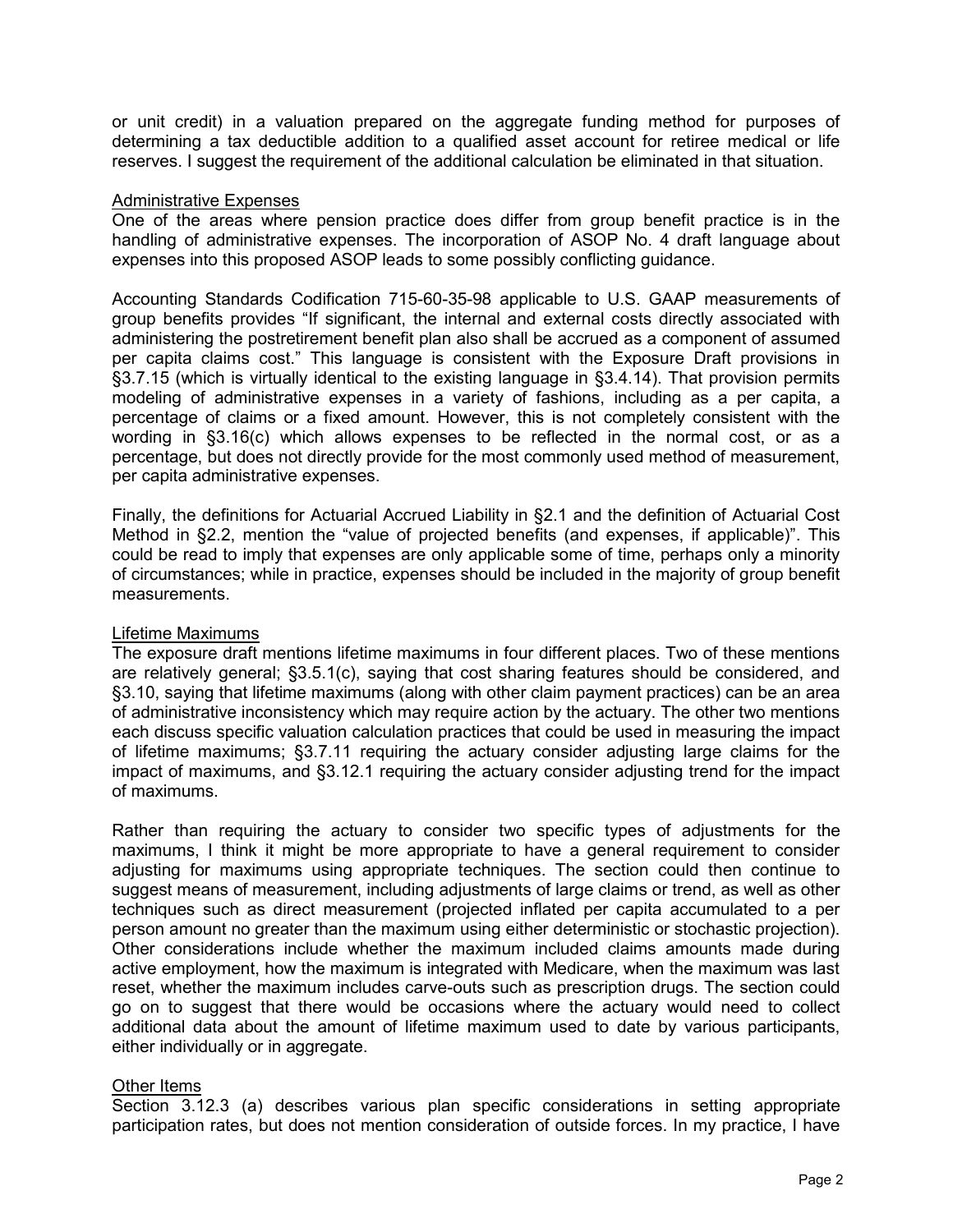or unit credit) in a valuation prepared on the aggregate funding method for purposes of determining a tax deductible addition to a qualified asset account for retiree medical or life reserves. I suggest the requirement of the additional calculation be eliminated in that situation.

### Administrative Expenses

One of the areas where pension practice does differ from group benefit practice is in the handling of administrative expenses. The incorporation of ASOP No. 4 draft language about expenses into this proposed ASOP leads to some possibly conflicting guidance.

Accounting Standards Codification 715-60-35-98 applicable to U.S. GAAP measurements of group benefits provides "If significant, the internal and external costs directly associated with administering the postretirement benefit plan also shall be accrued as a component of assumed per capita claims cost." This language is consistent with the Exposure Draft provisions in §3.7.15 (which is virtually identical to the existing language in §3.4.14). That provision permits modeling of administrative expenses in a variety of fashions, including as a per capita, a percentage of claims or a fixed amount. However, this is not completely consistent with the wording in §3.16(c) which allows expenses to be reflected in the normal cost, or as a percentage, but does not directly provide for the most commonly used method of measurement, per capita administrative expenses.

Finally, the definitions for Actuarial Accrued Liability in §2.1 and the definition of Actuarial Cost Method in §2.2, mention the "value of projected benefits (and expenses, if applicable)". This could be read to imply that expenses are only applicable some of time, perhaps only a minority of circumstances; while in practice, expenses should be included in the majority of group benefit measurements.

# Lifetime Maximums

The exposure draft mentions lifetime maximums in four different places. Two of these mentions are relatively general; §3.5.1(c), saying that cost sharing features should be considered, and §3.10, saying that lifetime maximums (along with other claim payment practices) can be an area of administrative inconsistency which may require action by the actuary. The other two mentions each discuss specific valuation calculation practices that could be used in measuring the impact of lifetime maximums; §3.7.11 requiring the actuary consider adjusting large claims for the impact of maximums, and §3.12.1 requiring the actuary consider adjusting trend for the impact of maximums.

Rather than requiring the actuary to consider two specific types of adjustments for the maximums, I think it might be more appropriate to have a general requirement to consider adjusting for maximums using appropriate techniques. The section could then continue to suggest means of measurement, including adjustments of large claims or trend, as well as other techniques such as direct measurement (projected inflated per capita accumulated to a per person amount no greater than the maximum using either deterministic or stochastic projection). Other considerations include whether the maximum included claims amounts made during active employment, how the maximum is integrated with Medicare, when the maximum was last reset, whether the maximum includes carve-outs such as prescription drugs. The section could go on to suggest that there would be occasions where the actuary would need to collect additional data about the amount of lifetime maximum used to date by various participants, either individually or in aggregate.

# Other Items

Section 3.12.3 (a) describes various plan specific considerations in setting appropriate participation rates, but does not mention consideration of outside forces. In my practice, I have